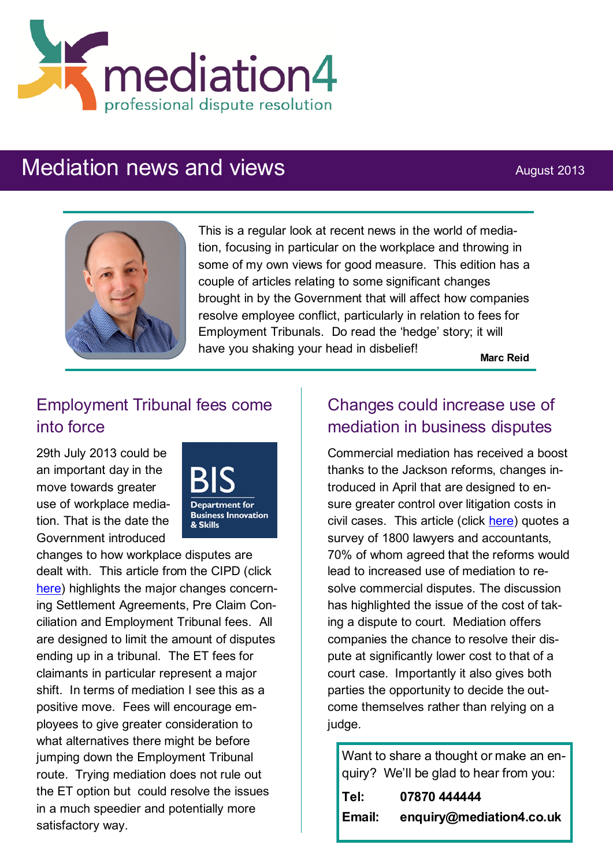

# Mediation news and views August 2013



This is a regular look at recent news in the world of mediation, focusing in particular on the workplace and throwing in some of my own views for good measure. This edition has a couple of articles relating to some significant changes brought in by the Government that will affect how companies resolve employee conflict, particularly in relation to fees for Employment Tribunals. Do read the 'hedge' story; it will have you shaking your head in disbelief!

**Marc Reid**

## Employment Tribunal fees come into force

29th July 2013 could be an important day in the move towards greater use of workplace mediation. That is the date the Government introduced



changes to how workplace disputes are dealt with. This article from the CIPD (click [here\)](http://www.cipd.co.uk/pm/peoplemanagement/b/weblog/archive/2013/07/29/dispute-resolution-may-have-just-got-easier.aspx?utm_medium=email&utm_source=cipd&utm_campaign=pmdaily&utm_content=290713_law_1) highlights the major changes concerning Settlement Agreements, Pre Claim Conciliation and Employment Tribunal fees. All are designed to limit the amount of disputes ending up in a tribunal. The ET fees for claimants in particular represent a major shift. In terms of mediation I see this as a positive move. Fees will encourage employees to give greater consideration to what alternatives there might be before jumping down the Employment Tribunal route. Trying mediation does not rule out the ET option but could resolve the issues in a much speedier and potentially more satisfactory way.

### Changes could increase use of mediation in business disputes

Commercial mediation has received a boost thanks to the Jackson reforms, changes introduced in April that are designed to ensure greater control over litigation costs in civil cases. This article (click [here\)](http://www.manchestereveningnews.co.uk/business/professionals/jackson-reforms-could-lead-more-4311003) quotes a survey of 1800 lawyers and accountants, 70% of whom agreed that the reforms would lead to increased use of mediation to resolve commercial disputes. The discussion has highlighted the issue of the cost of taking a dispute to court. Mediation offers companies the chance to resolve their dispute at significantly lower cost to that of a court case. Importantly it also gives both parties the opportunity to decide the outcome themselves rather than relying on a judge.

Want to share a thought or make an enquiry? We'll be glad to hear from you: **Tel: 07870 444444 Email: enquiry@mediation4.co.uk**